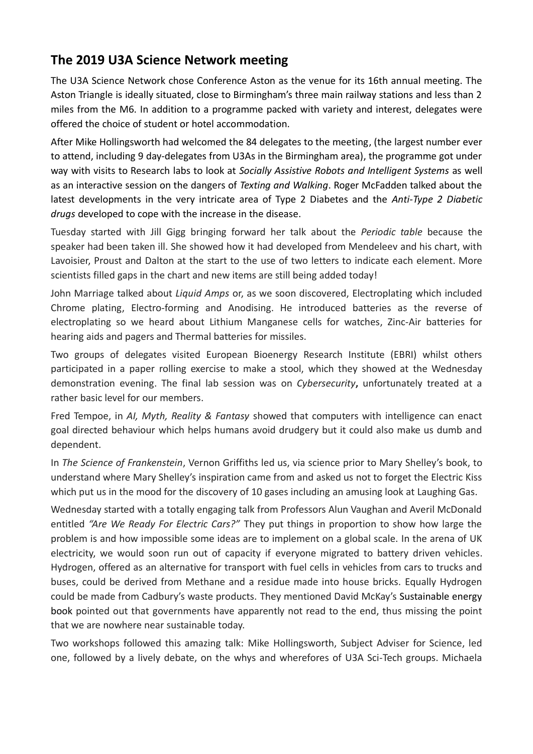## **The 2019 U3A Science Network meeting**

The U3A Science Network chose Conference Aston as the venue for its 16th annual meeting. The Aston Triangle is ideally situated, close to Birmingham's three main railway stations and less than 2 miles from the M6. In addition to a programme packed with variety and interest, delegates were offered the choice of student or hotel accommodation.

After Mike Hollingsworth had welcomed the 84 delegates to the meeting, (the largest number ever to attend, including 9 day-delegates from U3As in the Birmingham area), the programme got under way with visits to Research labs to look at *Socially Assistive Robots and Intelligent Systems* as well as an interactive session on the dangers of *Texting and Walking*. Roger McFadden talked about the latest developments in the very intricate area of Type 2 Diabetes and the *Anti-Type 2 Diabetic drugs* developed to cope with the increase in the disease.

Tuesday started with Jill Gigg bringing forward her talk about the *Periodic table* because the speaker had been taken ill. She showed how it had developed from Mendeleev and his chart, with Lavoisier, Proust and Dalton at the start to the use of two letters to indicate each element. More scientists filled gaps in the chart and new items are still being added today!

John Marriage talked about *Liquid Amps* or, as we soon discovered, Electroplating which included Chrome plating, Electro-forming and Anodising. He introduced batteries as the reverse of electroplating so we heard about Lithium Manganese cells for watches, Zinc-Air batteries for hearing aids and pagers and Thermal batteries for missiles.

Two groups of delegates visited European Bioenergy Research Institute (EBRI) whilst others participated in a paper rolling exercise to make a stool, which they showed at the Wednesday demonstration evening. The final lab session was on *Cybersecurity***,** unfortunately treated at a rather basic level for our members.

Fred Tempoe, in *AI, Myth, Reality & Fantasy* showed that computers with intelligence can enact goal directed behaviour which helps humans avoid drudgery but it could also make us dumb and dependent.

In *The Science of Frankenstein*, Vernon Griffiths led us, via science prior to Mary Shelley's book, to understand where Mary Shelley's inspiration came from and asked us not to forget the Electric Kiss which put us in the mood for the discovery of 10 gases including an amusing look at Laughing Gas.

Wednesday started with a totally engaging talk from Professors Alun Vaughan and Averil McDonald entitled *"Are We Ready For Electric Cars?"* They put things in proportion to show how large the problem is and how impossible some ideas are to implement on a global scale. In the arena of UK electricity, we would soon run out of capacity if everyone migrated to battery driven vehicles. Hydrogen, offered as an alternative for transport with fuel cells in vehicles from cars to trucks and buses, could be derived from Methane and a residue made into house bricks. Equally Hydrogen could be made from Cadbury's waste products. They mentioned David McKay's Sustainable energy book pointed out that governments have apparently not read to the end, thus missing the point that we are nowhere near sustainable today.

Two workshops followed this amazing talk: Mike Hollingsworth, Subject Adviser for Science, led one, followed by a lively debate, on the whys and wherefores of U3A Sci-Tech groups. Michaela